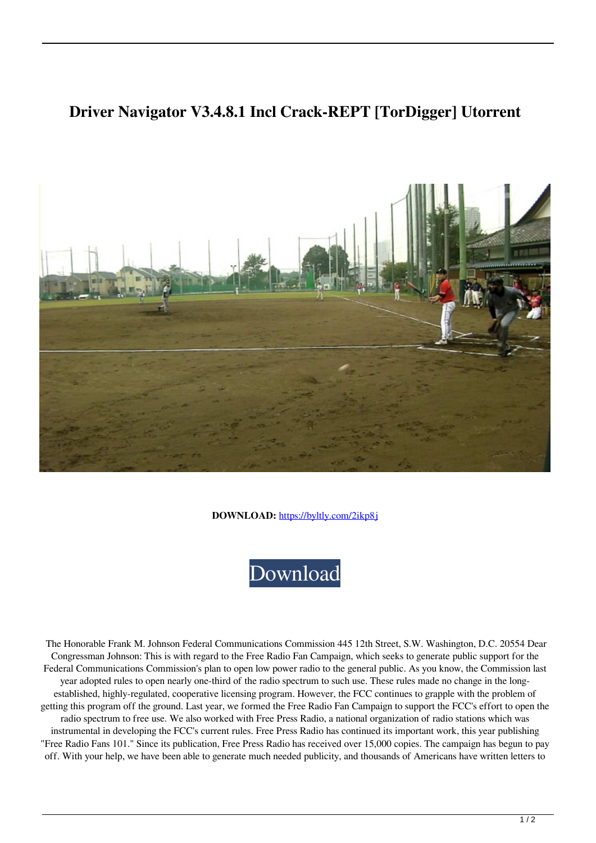## **Driver Navigator V3.4.8.1 Incl Crack-REPT [TorDigger] Utorrent**



**DOWNLOAD:** <https://byltly.com/2ikp8j>



 The Honorable Frank M. Johnson Federal Communications Commission 445 12th Street, S.W. Washington, D.C. 20554 Dear Congressman Johnson: This is with regard to the Free Radio Fan Campaign, which seeks to generate public support for the Federal Communications Commission's plan to open low power radio to the general public. As you know, the Commission last year adopted rules to open nearly one-third of the radio spectrum to such use. These rules made no change in the longestablished, highly-regulated, cooperative licensing program. However, the FCC continues to grapple with the problem of getting this program off the ground. Last year, we formed the Free Radio Fan Campaign to support the FCC's effort to open the radio spectrum to free use. We also worked with Free Press Radio, a national organization of radio stations which was instrumental in developing the FCC's current rules. Free Press Radio has continued its important work, this year publishing "Free Radio Fans 101." Since its publication, Free Press Radio has received over 15,000 copies. The campaign has begun to pay off. With your help, we have been able to generate much needed publicity, and thousands of Americans have written letters to